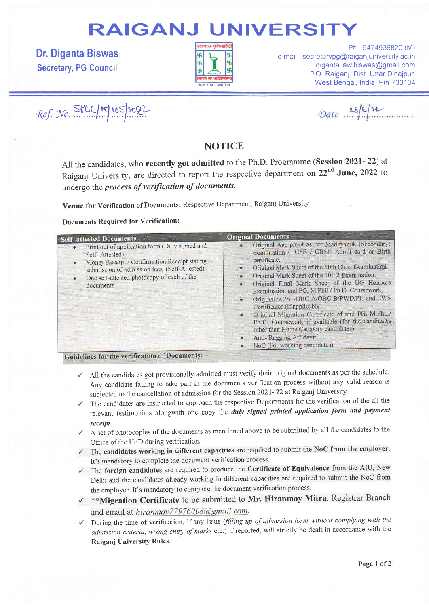# RAIGANJ UNIVERSITY

Dr. Diganta Biswas Secretary, PG Council



Ph 9474936820 (M) e mail secretarypg@raiganjuniversity ac in diganta law biswas@gmail com PO Raiganj, Dist. Uttar Dinajpur. West Bengal, India, Pin-733134

 $Ref.$  No.  $SfGC/m$   $165/1022$ 

Date 25/6/12

### **NOTICE**

All the candidates, who recently got admitted to the Ph.D. Programme (Session 2021- 22) at Raiganj University, are directed to report the respective department on 22<sup>nd</sup> June. 2022 to undergo the process of verification of documents.

Venue for Verification of Documents: Respective Department, Raiganj University

Documents Required for Verification:

| <b>Self-</b> attested Documents                                                                                                                                                                                                                                      | <b>Original Documents</b>                                                                                                                                                                                                                                                                                                                                                                                                                                                                                                                                                                                                      |
|----------------------------------------------------------------------------------------------------------------------------------------------------------------------------------------------------------------------------------------------------------------------|--------------------------------------------------------------------------------------------------------------------------------------------------------------------------------------------------------------------------------------------------------------------------------------------------------------------------------------------------------------------------------------------------------------------------------------------------------------------------------------------------------------------------------------------------------------------------------------------------------------------------------|
| Print out of application form (Duly signed and<br>$\bullet$<br>Self-Attested)<br>Money Receipt / Confirmation Receipt stating<br>$\bullet$<br>submission of admission fees. (Self-Attested)<br>One self-attested photocopy of each of the<br>$\bullet$<br>documents. | Original Age proof as per Madhyamik (Secondary)<br>examination / ICSE / CBSE Admit card or Birth<br>certificate.<br>Original Mark Sheet of the 10th Class Examination.<br>$\bullet$<br>Original Mark Sheet of the 10+2 Examination.<br>Original Final Mark Sheet of the UG Honours<br>Examination and PG, M.Phil./ Ph.D. Coursework,<br>Original SC/ST/OBC-A/OBC-B/PWD/PH and EWS<br>Certificates (if applicable)<br>Original Migration Certificate of and PG, M.Phil./<br>Ph.D. Coursework if available (for the candidates<br>other than Home Category candidates)<br>Anti-Ragging Affidavit<br>NoC (For working candidates) |

- $\checkmark$  All the candidates got provisionally admitted must verify their original documents as per the schedule. Any candidate failing to take part in the documents verification process without any valid reason is subjected to the cancellation of admission for the Session 2021- 22 at Raiganj University.
- The candidates are instructed to approach the respective Departments for the verification of the all the  $\checkmark$ relevant testimonials alongwith one copy the duly signed printed application form and payment receipt.
- A set of photocopies of the documents as mentioned above to be submitted by all the candidates to the Office of the HoD during verification.
- The candidates working in different capacities are required to submit the NoC from the employer.  $\checkmark$ It's mandatory to complete the document verification process.
- The foreign candidates are required to produce the Certificate of Equivalence from the AIU, New Delhi and the candidates already working in different capacities are required to submit the NoC from the employer. It's mandatory to complete the document verification process.
- $\checkmark$  \*\*Migration Certificate to be submitted to Mr. Hiranmoy Mitra, Registrar Branch and email at hiranmay77976008@gmail.com.
- During the time of verification, if any issue (filling up of admission form without complying with the admission criteria,wrong entry of marks etc.) if reported, will strictly be dealt in accordance with the Raiganj University Rules.